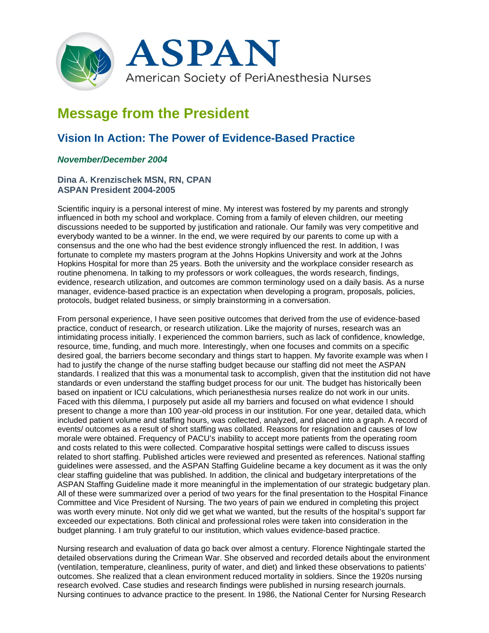

# **Message from the President**

# **Vision In Action: The Power of Evidence-Based Practice**

## *November/December 2004*

### **Dina A. Krenzischek MSN, RN, CPAN ASPAN President 2004-2005**

Scientific inquiry is a personal interest of mine. My interest was fostered by my parents and strongly influenced in both my school and workplace. Coming from a family of eleven children, our meeting discussions needed to be supported by justification and rationale. Our family was very competitive and everybody wanted to be a winner. In the end, we were required by our parents to come up with a consensus and the one who had the best evidence strongly influenced the rest. In addition, I was fortunate to complete my masters program at the Johns Hopkins University and work at the Johns Hopkins Hospital for more than 25 years. Both the university and the workplace consider research as routine phenomena. In talking to my professors or work colleagues, the words research, findings, evidence, research utilization, and outcomes are common terminology used on a daily basis. As a nurse manager, evidence-based practice is an expectation when developing a program, proposals, policies, protocols, budget related business, or simply brainstorming in a conversation.

From personal experience, I have seen positive outcomes that derived from the use of evidence-based practice, conduct of research, or research utilization. Like the majority of nurses, research was an intimidating process initially. I experienced the common barriers, such as lack of confidence, knowledge, resource, time, funding, and much more. Interestingly, when one focuses and commits on a specific desired goal, the barriers become secondary and things start to happen. My favorite example was when I had to justify the change of the nurse staffing budget because our staffing did not meet the ASPAN standards. I realized that this was a monumental task to accomplish, given that the institution did not have standards or even understand the staffing budget process for our unit. The budget has historically been based on inpatient or ICU calculations, which perianesthesia nurses realize do not work in our units. Faced with this dilemma, I purposely put aside all my barriers and focused on what evidence I should present to change a more than 100 year-old process in our institution. For one year, detailed data, which included patient volume and staffing hours, was collected, analyzed, and placed into a graph. A record of events/ outcomes as a result of short staffing was collated. Reasons for resignation and causes of low morale were obtained. Frequency of PACU's inability to accept more patients from the operating room and costs related to this were collected. Comparative hospital settings were called to discuss issues related to short staffing. Published articles were reviewed and presented as references. National staffing guidelines were assessed, and the ASPAN Staffing Guideline became a key document as it was the only clear staffing guideline that was published. In addition, the clinical and budgetary interpretations of the ASPAN Staffing Guideline made it more meaningful in the implementation of our strategic budgetary plan. All of these were summarized over a period of two years for the final presentation to the Hospital Finance Committee and Vice President of Nursing. The two years of pain we endured in completing this project was worth every minute. Not only did we get what we wanted, but the results of the hospital's support far exceeded our expectations. Both clinical and professional roles were taken into consideration in the budget planning. I am truly grateful to our institution, which values evidence-based practice.

Nursing research and evaluation of data go back over almost a century. Florence Nightingale started the detailed observations during the Crimean War. She observed and recorded details about the environment (ventilation, temperature, cleanliness, purity of water, and diet) and linked these observations to patients' outcomes. She realized that a clean environment reduced mortality in soldiers. Since the 1920s nursing research evolved. Case studies and research findings were published in nursing research journals. Nursing continues to advance practice to the present. In 1986, the National Center for Nursing Research